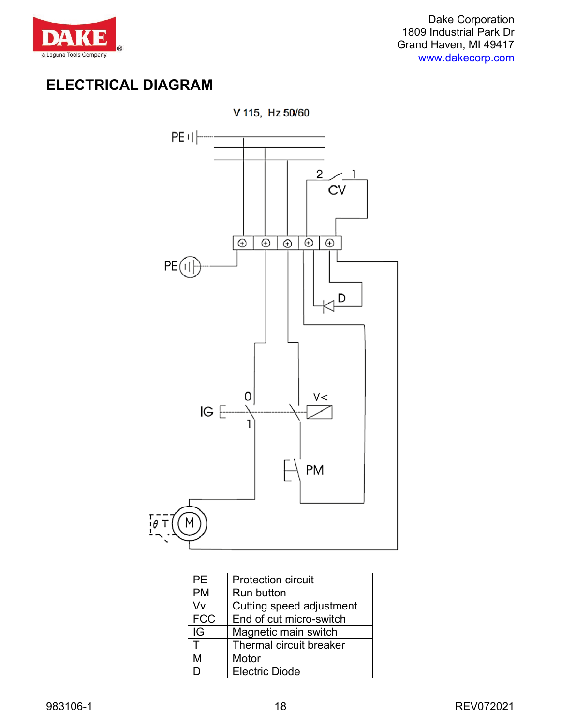

# **ELECTRICAL DIAGRAM**



| <b>PE</b>  | <b>Protection circuit</b>      |
|------------|--------------------------------|
| <b>PM</b>  | <b>Run button</b>              |
| V٧         | Cutting speed adjustment       |
| <b>FCC</b> | End of cut micro-switch        |
| IG         | Magnetic main switch           |
| Т          | <b>Thermal circuit breaker</b> |
| M          | Motor                          |
| D          | <b>Electric Diode</b>          |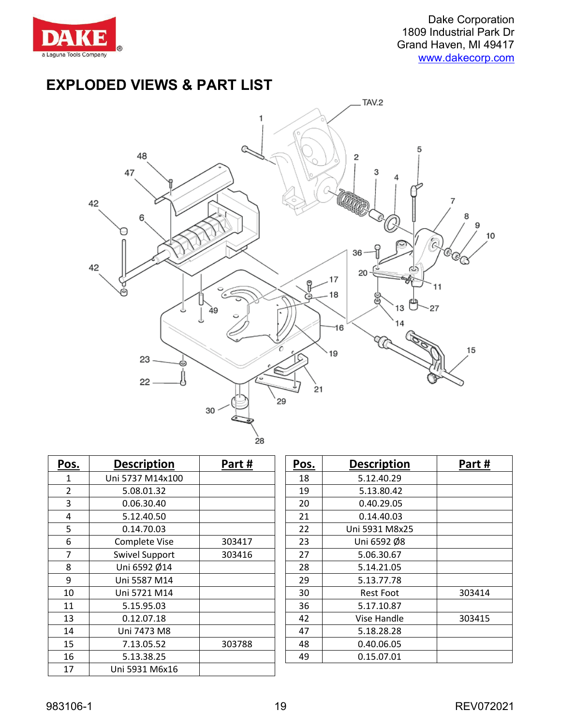

## **EXPLODED VIEWS & PART LIST**



| Pos.           | <b>Description</b>    | Part#  | Pos. | <b>Description</b> | Part#  |
|----------------|-----------------------|--------|------|--------------------|--------|
| 1              | Uni 5737 M14x100      |        | 18   | 5.12.40.29         |        |
| $\overline{2}$ | 5.08.01.32            |        | 19   | 5.13.80.42         |        |
| 3              | 0.06.30.40            |        | 20   | 0.40.29.05         |        |
| 4              | 5.12.40.50            |        | 21   | 0.14.40.03         |        |
| 5              | 0.14.70.03            |        | 22   | Uni 5931 M8x25     |        |
| 6              | Complete Vise         | 303417 | 23   | Uni 6592 Ø8        |        |
| 7              | <b>Swivel Support</b> | 303416 | 27   | 5.06.30.67         |        |
| 8              | Uni 6592 Ø14          |        | 28   | 5.14.21.05         |        |
| 9              | Uni 5587 M14          |        | 29   | 5.13.77.78         |        |
| 10             | Uni 5721 M14          |        | 30   | <b>Rest Foot</b>   | 303414 |
| 11             | 5.15.95.03            |        | 36   | 5.17.10.87         |        |
| 13             | 0.12.07.18            |        | 42   | Vise Handle        | 303415 |
| 14             | Uni 7473 M8           |        | 47   | 5.18.28.28         |        |
| 15             | 7.13.05.52            | 303788 | 48   | 0.40.06.05         |        |
| 16             | 5.13.38.25            |        | 49   | 0.15.07.01         |        |
| 17             | Uni 5931 M6x16        |        |      |                    |        |

| Pos. | <b>Description</b> | Part#  |
|------|--------------------|--------|
| 18   | 5.12.40.29         |        |
| 19   | 5.13.80.42         |        |
| 20   | 0.40.29.05         |        |
| 21   | 0.14.40.03         |        |
| 22   | Uni 5931 M8x25     |        |
| 23   | Uni 6592 Ø8        |        |
| 27   | 5.06.30.67         |        |
| 28   | 5.14.21.05         |        |
| 29   | 5.13.77.78         |        |
| 30   | <b>Rest Foot</b>   | 303414 |
| 36   | 5.17.10.87         |        |
| 42   | Vise Handle        | 303415 |
| 47   | 5.18.28.28         |        |
| 48   | 0.40.06.05         |        |
| 49   | 0.15.07.01         |        |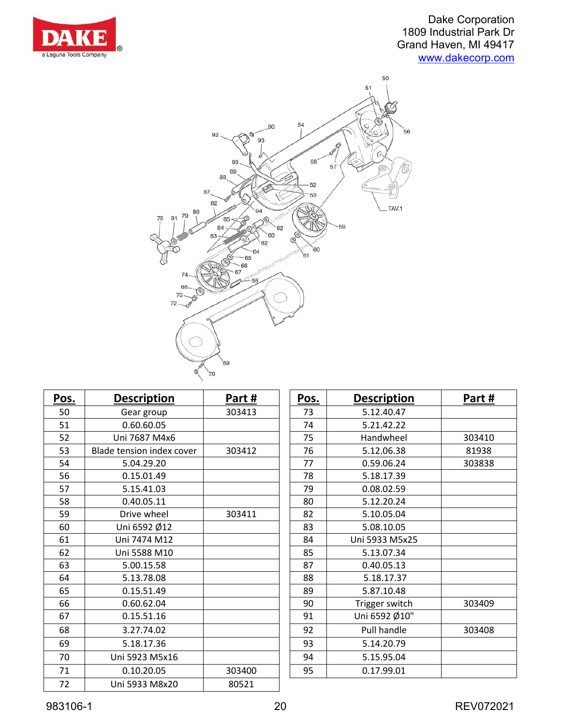



| Pos. | <b>Description</b>        | Part#  | Pos. | <b>Description</b> | Part#  |
|------|---------------------------|--------|------|--------------------|--------|
| 50   | Gear group                | 303413 | 73   | 5.12.40.47         |        |
| 51   | 0.60.60.05                |        | 74   | 5.21.42.22         |        |
| 52   | Uni 7687 M4x6             |        | 75   | Handwheel          | 303410 |
| 53   | Blade tension index cover | 303412 | 76   | 5.12.06.38         | 81938  |
| 54   | 5.04.29.20                |        | 77   | 0.59.06.24         | 303838 |
| 56   | 0.15.01.49                |        | 78   | 5.18.17.39         |        |
| 57   | 5.15.41.03                |        | 79   | 0.08.02.59         |        |
| 58   | 0.40.05.11                |        | 80   | 5.12.20.24         |        |
| 59   | Drive wheel               | 303411 | 82   | 5.10.05.04         |        |
| 60   | Uni 6592 Ø12              |        | 83   | 5.08.10.05         |        |
| 61   | Uni 7474 M12              |        | 84   | Uni 5933 M5x25     |        |
| 62   | Uni 5588 M10              |        | 85   | 5.13.07.34         |        |
| 63   | 5.00.15.58                |        | 87   | 0.40.05.13         |        |
| 64   | 5.13.78.08                |        | 88   | 5.18.17.37         |        |
| 65   | 0.15.51.49                |        | 89   | 5.87.10.48         |        |
| 66   | 0.60.62.04                |        | 90   | Trigger switch     | 303409 |
| 67   | 0.15.51.16                |        | 91   | Uni 6592 Ø10"      |        |
| 68   | 3.27.74.02                |        | 92   | Pull handle        | 303408 |
| 69   | 5.18.17.36                |        | 93   | 5.14.20.79         |        |
| 70   | Uni 5923 M5x16            |        | 94   | 5.15.95.04         |        |
| 71   | 0.10.20.05                | 303400 | 95   | 0.17.99.01         |        |
| 72   | Uni 5933 M8x20            | 80521  |      |                    |        |

| Pos. | <b>Description</b> | Part#  |
|------|--------------------|--------|
| 73   | 5.12.40.47         |        |
| 74   | 5.21.42.22         |        |
| 75   | Handwheel          | 303410 |
| 76   | 5.12.06.38         | 81938  |
| 77   | 0.59.06.24         | 303838 |
| 78   | 5.18.17.39         |        |
| 79   | 0.08.02.59         |        |
| 80   | 5.12.20.24         |        |
| 82   | 5.10.05.04         |        |
| 83   | 5.08.10.05         |        |
| 84   | Uni 5933 M5x25     |        |
| 85   | 5.13.07.34         |        |
| 87   | 0.40.05.13         |        |
| 88   | 5.18.17.37         |        |
| 89   | 5.87.10.48         |        |
| 90   | Trigger switch     | 303409 |
| 91   | Uni 6592 Ø10"      |        |
| 92   | Pull handle        | 303408 |
| 93   | 5.14.20.79         |        |
| 94   | 5.15.95.04         |        |
| 95   | 0.17.99.01         |        |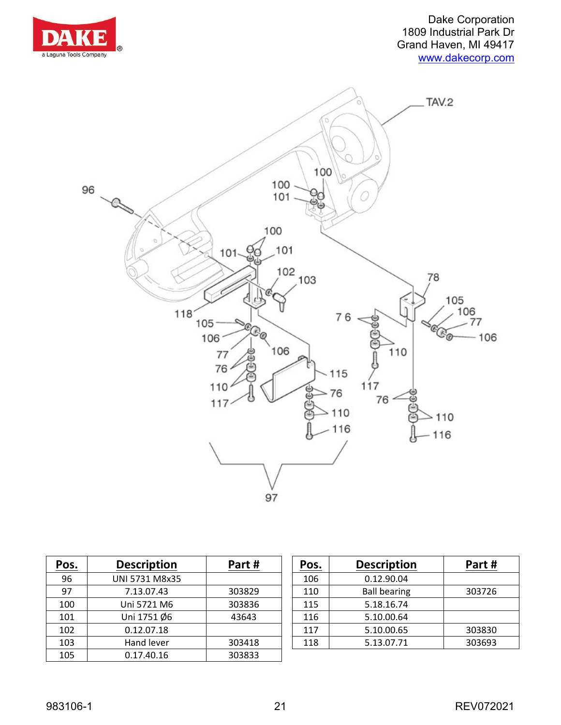



| <u>Pos.</u> | <b>Description</b> | Part#  | Pos. | <b>Description</b>  | Part#  |
|-------------|--------------------|--------|------|---------------------|--------|
| 96          | UNI 5731 M8x35     |        | 106  | 0.12.90.04          |        |
| 97          | 7.13.07.43         | 303829 | 110  | <b>Ball bearing</b> | 303726 |
| 100         | Uni 5721 M6        | 303836 | 115  | 5.18.16.74          |        |
| 101         | Uni 1751 Ø6        | 43643  | 116  | 5.10.00.64          |        |
| 102         | 0.12.07.18         |        | 117  | 5.10.00.65          | 303830 |
| 103         | Hand lever         | 303418 | 118  | 5.13.07.71          | 303693 |
| 105         | 0.17.40.16         | 303833 |      |                     |        |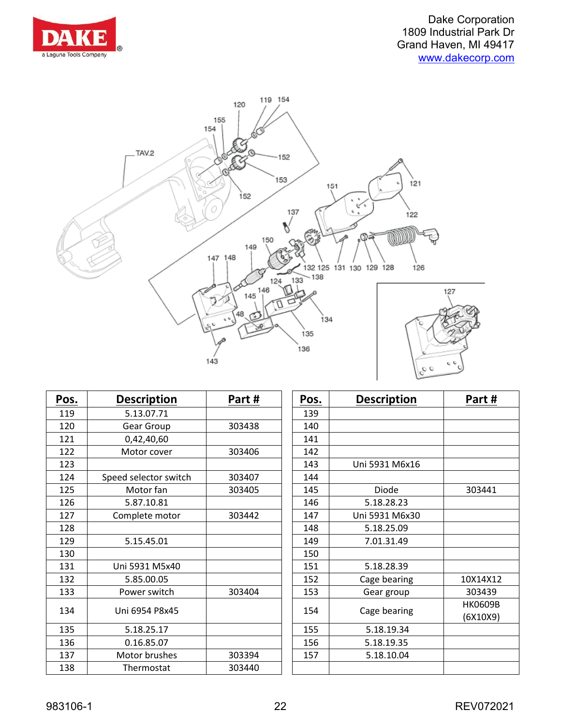



| Pos. | <b>Description</b>    | Part#                 | Pos.         | <b>Description</b> | Part#    |
|------|-----------------------|-----------------------|--------------|--------------------|----------|
| 119  | 5.13.07.71            |                       | 139          |                    |          |
| 120  | Gear Group            | 303438                | 140          |                    |          |
| 121  | 0,42,40,60            |                       | 141          |                    |          |
| 122  | Motor cover           | 303406                | 142          |                    |          |
| 123  |                       |                       | 143          | Uni 5931 M6x16     |          |
| 124  | Speed selector switch | 303407                | 144          |                    |          |
| 125  | Motor fan             | 303405                | 145          | Diode              | 303441   |
| 126  | 5.87.10.81            |                       | 146          | 5.18.28.23         |          |
| 127  | Complete motor        | 303442                | 147          | Uni 5931 M6x30     |          |
| 128  |                       |                       | 148          | 5.18.25.09         |          |
| 129  | 5.15.45.01            |                       | 149          | 7.01.31.49         |          |
| 130  |                       |                       | 150          |                    |          |
| 131  | Uni 5931 M5x40        |                       | 151          | 5.18.28.39         |          |
| 132  | 5.85.00.05            |                       | 152          | Cage bearing       | 10X14X12 |
| 133  | Power switch          | 303404                | 153          | Gear group         | 303439   |
|      |                       | Uni 6954 P8x45<br>154 | Cage bearing | <b>HK0609B</b>     |          |
| 134  |                       |                       |              |                    | (6X10X9) |
| 135  | 5.18.25.17            |                       | 155          | 5.18.19.34         |          |
| 136  | 0.16.85.07            |                       | 156          | 5.18.19.35         |          |
| 137  | Motor brushes         | 303394                | 157          | 5.18.10.04         |          |
| 138  | Thermostat            | 303440                |              |                    |          |

| Pos. | <b>Description</b> | Part#    |
|------|--------------------|----------|
| 139  |                    |          |
| 140  |                    |          |
| 141  |                    |          |
| 142  |                    |          |
| 143  | Uni 5931 M6x16     |          |
| 144  |                    |          |
| 145  | Diode              | 303441   |
| 146  | 5.18.28.23         |          |
| 147  | Uni 5931 M6x30     |          |
| 148  | 5.18.25.09         |          |
| 149  | 7.01.31.49         |          |
| 150  |                    |          |
| 151  | 5.18.28.39         |          |
| 152  | Cage bearing       | 10X14X12 |
| 153  | Gear group         | 303439   |
| 154  |                    | HK0609B  |
|      | Cage bearing       | (6X10X9) |
| 155  | 5.18.19.34         |          |
| 156  | 5.18.19.35         |          |
| 157  | 5.18.10.04         |          |
|      |                    |          |